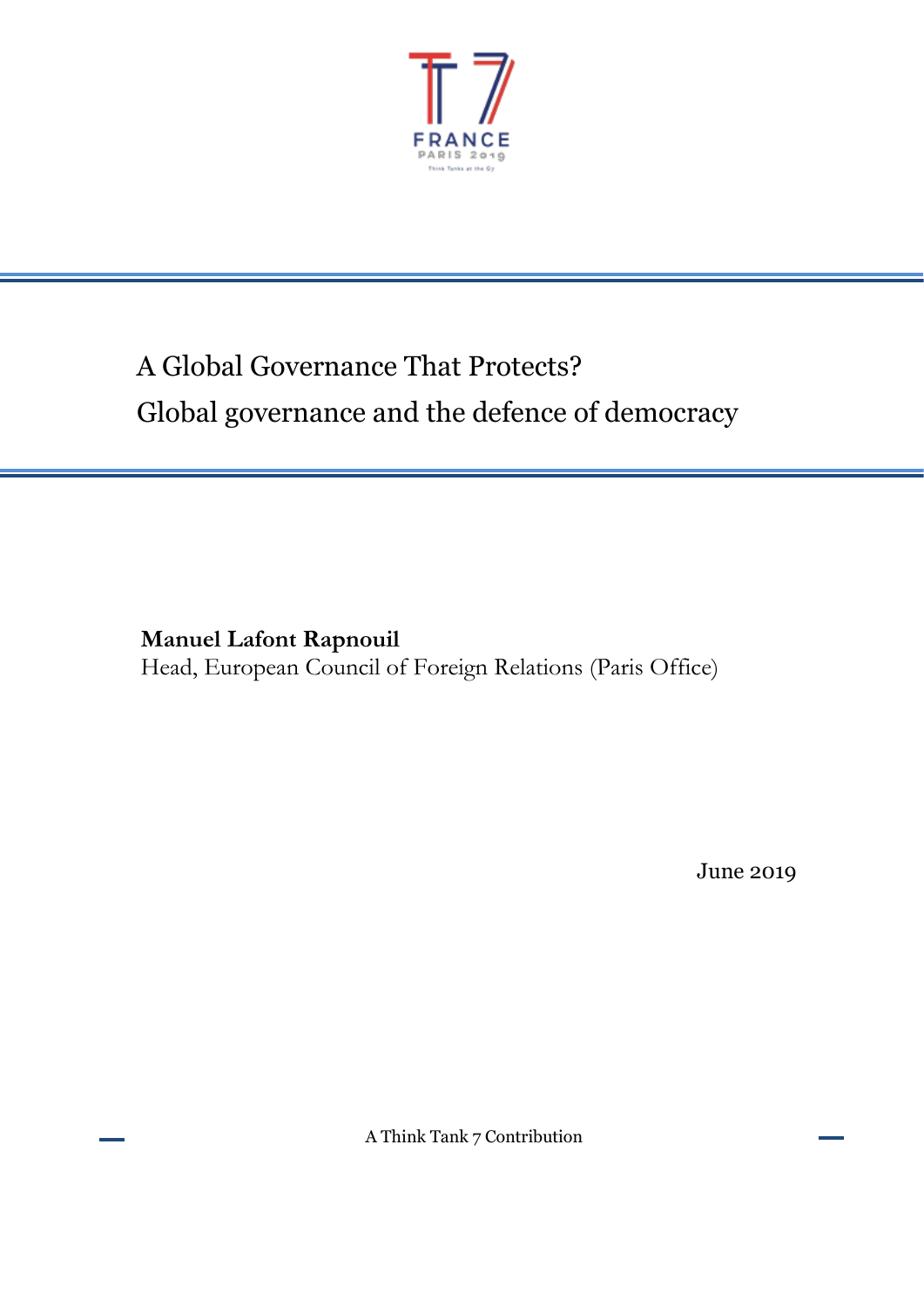

# A Global Governance That Protects? Global governance and the defence of democracy

**Manuel Lafont Rapnouil** Head, European Council of Foreign Relations (Paris Office)

June 2019

A Think Tank 7 Contribution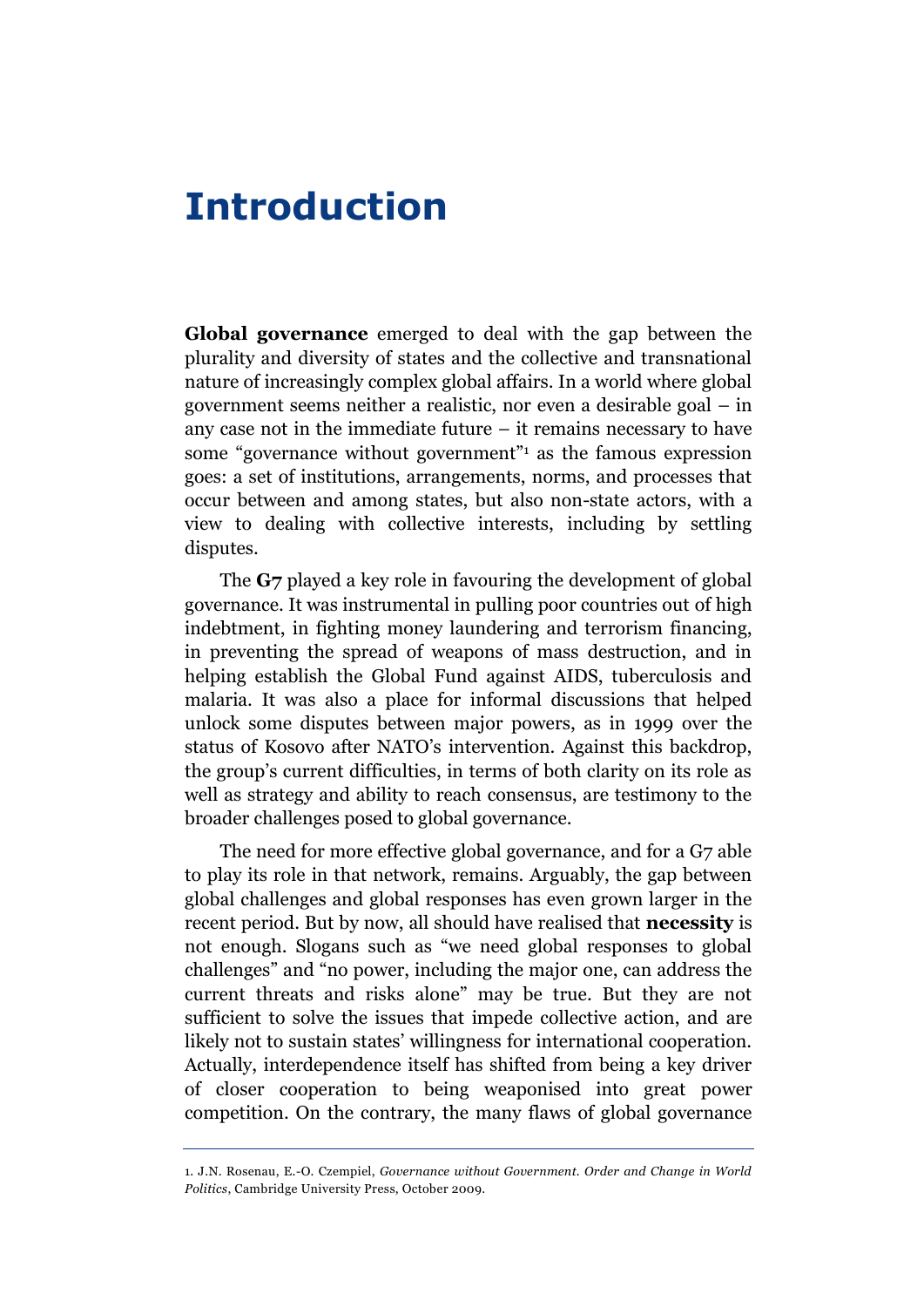# **Introduction**

**Global governance** emerged to deal with the gap between the plurality and diversity of states and the collective and transnational nature of increasingly complex global affairs. In a world where global government seems neither a realistic, nor even a desirable goal – in any case not in the immediate future  $-$  it remains necessary to have some "governance without government"<sup>1</sup> as the famous expression goes: a set of institutions, arrangements, norms, and processes that occur between and among states, but also non-state actors, with a view to dealing with collective interests, including by settling disputes.

The **G7** played a key role in favouring the development of global governance. It was instrumental in pulling poor countries out of high indebtment, in fighting money laundering and terrorism financing, in preventing the spread of weapons of mass destruction, and in helping establish the Global Fund against AIDS, tuberculosis and malaria. It was also a place for informal discussions that helped unlock some disputes between major powers, as in 1999 over the status of Kosovo after NATO's intervention. Against this backdrop, the group's current difficulties, in terms of both clarity on its role as well as strategy and ability to reach consensus, are testimony to the broader challenges posed to global governance.

The need for more effective global governance, and for a G7 able to play its role in that network, remains. Arguably, the gap between global challenges and global responses has even grown larger in the recent period. But by now, all should have realised that **necessity** is not enough. Slogans such as "we need global responses to global challenges" and "no power, including the major one, can address the current threats and risks alone" may be true. But they are not sufficient to solve the issues that impede collective action, and are likely not to sustain states' willingness for international cooperation. Actually, interdependence itself has shifted from being a key driver of closer cooperation to being weaponised into great power competition. On the contrary, the many flaws of global governance

<sup>1.</sup> J.N. Rosenau, E.-O. Czempiel, *Governance without Government. Order and Change in World Politics*, Cambridge University Press, October 2009.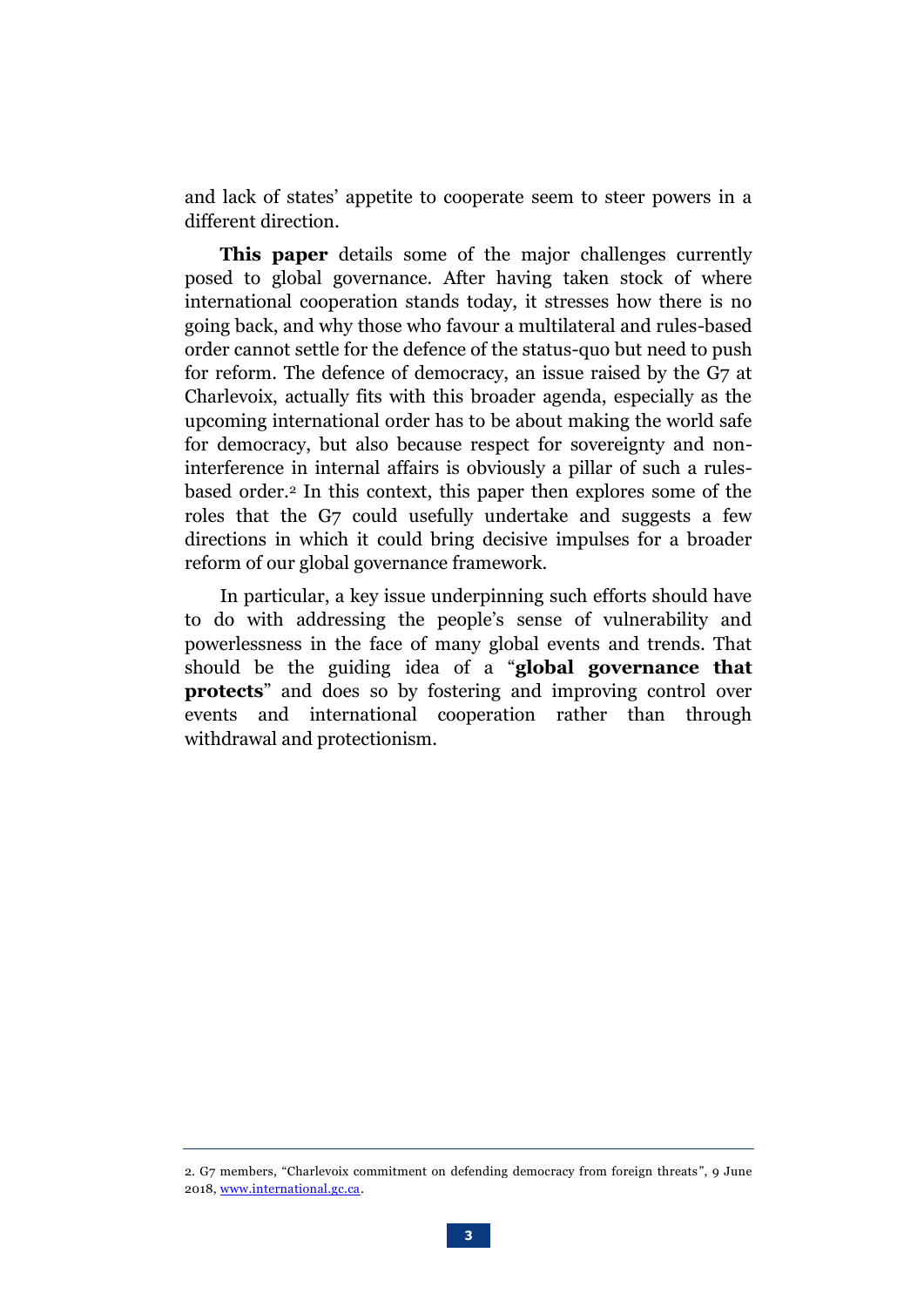and lack of states' appetite to cooperate seem to steer powers in a different direction.

**This paper** details some of the major challenges currently posed to global governance. After having taken stock of where international cooperation stands today, it stresses how there is no going back, and why those who favour a multilateral and rules-based order cannot settle for the defence of the status-quo but need to push for reform. The defence of democracy, an issue raised by the G7 at Charlevoix, actually fits with this broader agenda, especially as the upcoming international order has to be about making the world safe for democracy, but also because respect for sovereignty and noninterference in internal affairs is obviously a pillar of such a rulesbased order.<sup>2</sup> In this context, this paper then explores some of the roles that the G7 could usefully undertake and suggests a few directions in which it could bring decisive impulses for a broader reform of our global governance framework.

In particular, a key issue underpinning such efforts should have to do with addressing the people's sense of vulnerability and powerlessness in the face of many global events and trends. That should be the guiding idea of a "**global governance that protects**" and does so by fostering and improving control over events and international cooperation rather than through withdrawal and protectionism.

<sup>2.</sup> G7 members, "Charlevoix commitment on defending democracy from foreign threats", 9 June 2018, [www.international.gc.ca.](https://www.international.gc.ca/world-monde/international_relations-relations_internationales/g7/documents/2018-06-09-defending_democracy-defense_democratie.aspx?lang=eng)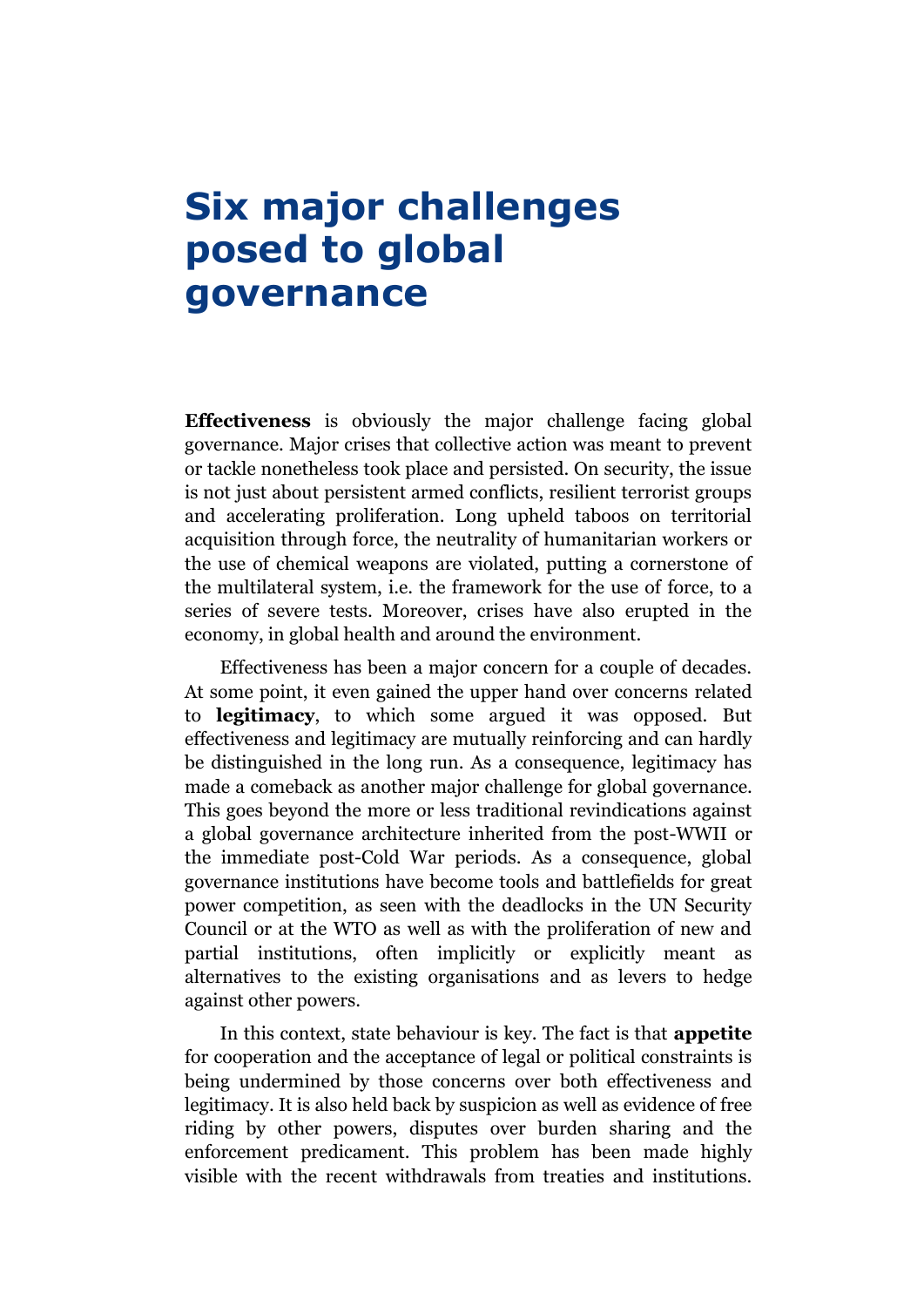# **Six major challenges posed to global governance**

**Effectiveness** is obviously the major challenge facing global governance. Major crises that collective action was meant to prevent or tackle nonetheless took place and persisted. On security, the issue is not just about persistent armed conflicts, resilient terrorist groups and accelerating proliferation. Long upheld taboos on territorial acquisition through force, the neutrality of humanitarian workers or the use of chemical weapons are violated, putting a cornerstone of the multilateral system, i.e. the framework for the use of force, to a series of severe tests. Moreover, crises have also erupted in the economy, in global health and around the environment.

Effectiveness has been a major concern for a couple of decades. At some point, it even gained the upper hand over concerns related to **legitimacy**, to which some argued it was opposed. But effectiveness and legitimacy are mutually reinforcing and can hardly be distinguished in the long run. As a consequence, legitimacy has made a comeback as another major challenge for global governance. This goes beyond the more or less traditional revindications against a global governance architecture inherited from the post-WWII or the immediate post-Cold War periods. As a consequence, global governance institutions have become tools and battlefields for great power competition, as seen with the deadlocks in the UN Security Council or at the WTO as well as with the proliferation of new and partial institutions, often implicitly or explicitly meant as alternatives to the existing organisations and as levers to hedge against other powers.

In this context, state behaviour is key. The fact is that **appetite** for cooperation and the acceptance of legal or political constraints is being undermined by those concerns over both effectiveness and legitimacy. It is also held back by suspicion as well as evidence of free riding by other powers, disputes over burden sharing and the enforcement predicament. This problem has been made highly visible with the recent withdrawals from treaties and institutions.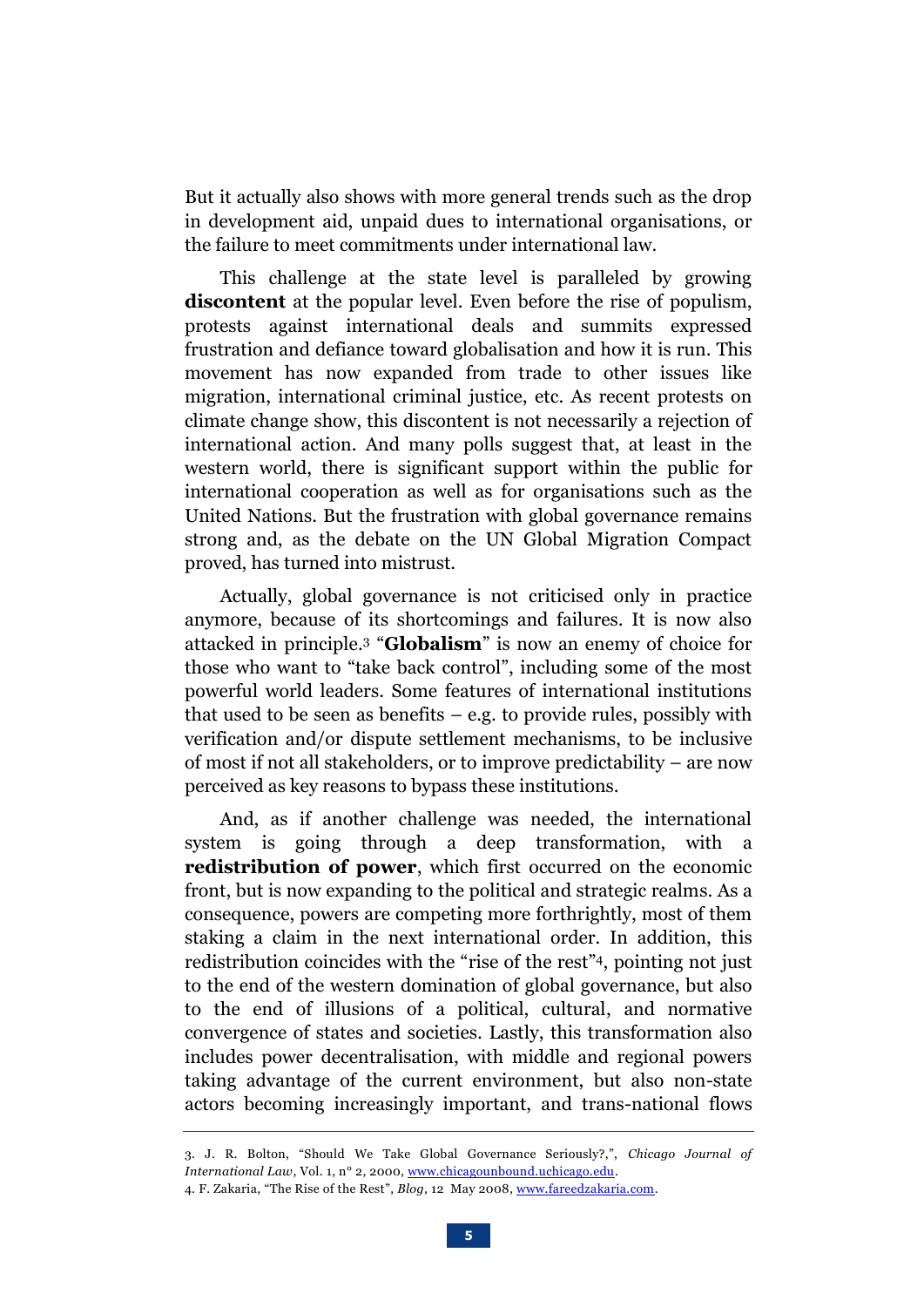But it actually also shows with more general trends such as the drop in development aid, unpaid dues to international organisations, or the failure to meet commitments under international law.

This challenge at the state level is paralleled by growing **discontent** at the popular level. Even before the rise of populism, protests against international deals and summits expressed frustration and defiance toward globalisation and how it is run. This movement has now expanded from trade to other issues like migration, international criminal justice, etc. As recent protests on climate change show, this discontent is not necessarily a rejection of international action. And many polls suggest that, at least in the western world, there is significant support within the public for international cooperation as well as for organisations such as the United Nations. But the frustration with global governance remains strong and, as the debate on the UN Global Migration Compact proved, has turned into mistrust.

Actually, global governance is not criticised only in practice anymore, because of its shortcomings and failures. It is now also [attacked in principle.](https://chicagounbound.uchicago.edu/cjil/vol1/iss2/2/) <sup>3</sup> "**Globalism**" is now an enemy of choice for those who want to "take back control", including some of the most powerful world leaders. Some features of international institutions that used to be seen as benefits  $-$  e.g. to provide rules, possibly with verification and/or dispute settlement mechanisms, to be inclusive of most if not all stakeholders, or to improve predictability – are now perceived as key reasons to bypass these institutions.

And, as if another challenge was needed, the international system is going through a deep transformation, with a **redistribution of power**, which first occurred on the economic front, but is now expanding to the political and strategic realms. As a consequence, powers are competing more forthrightly, most of them staking a claim in the next international order. In addition, this redistribution coincides with the "rise of the rest" <sup>4</sup>, pointing not just to the end of the western domination of global governance, but also to the end of illusions of a political, cultural, and normative convergence of states and societies. Lastly, this transformation also includes power decentralisation, with middle and regional powers taking advantage of the current environment, but also non-state actors becoming increasingly important, and trans-national flows

<sup>3.</sup> J. R. Bolton, "Should We Take Global Governance Seriously?,", *Chicago Journal of International Law*, Vol. 1, n° 2, 2000, [www.chicagounbound.uchicago.edu.](https://chicagounbound.uchicago.edu/cjil/vol1/iss2/2) 4. F. Zakaria, "The Rise of the Rest", *Blog*, 12 May 2008[, www.fareedzakaria.com.](https://fareedzakaria.com/columns/2008/05/12/the-rise-of-the-rest)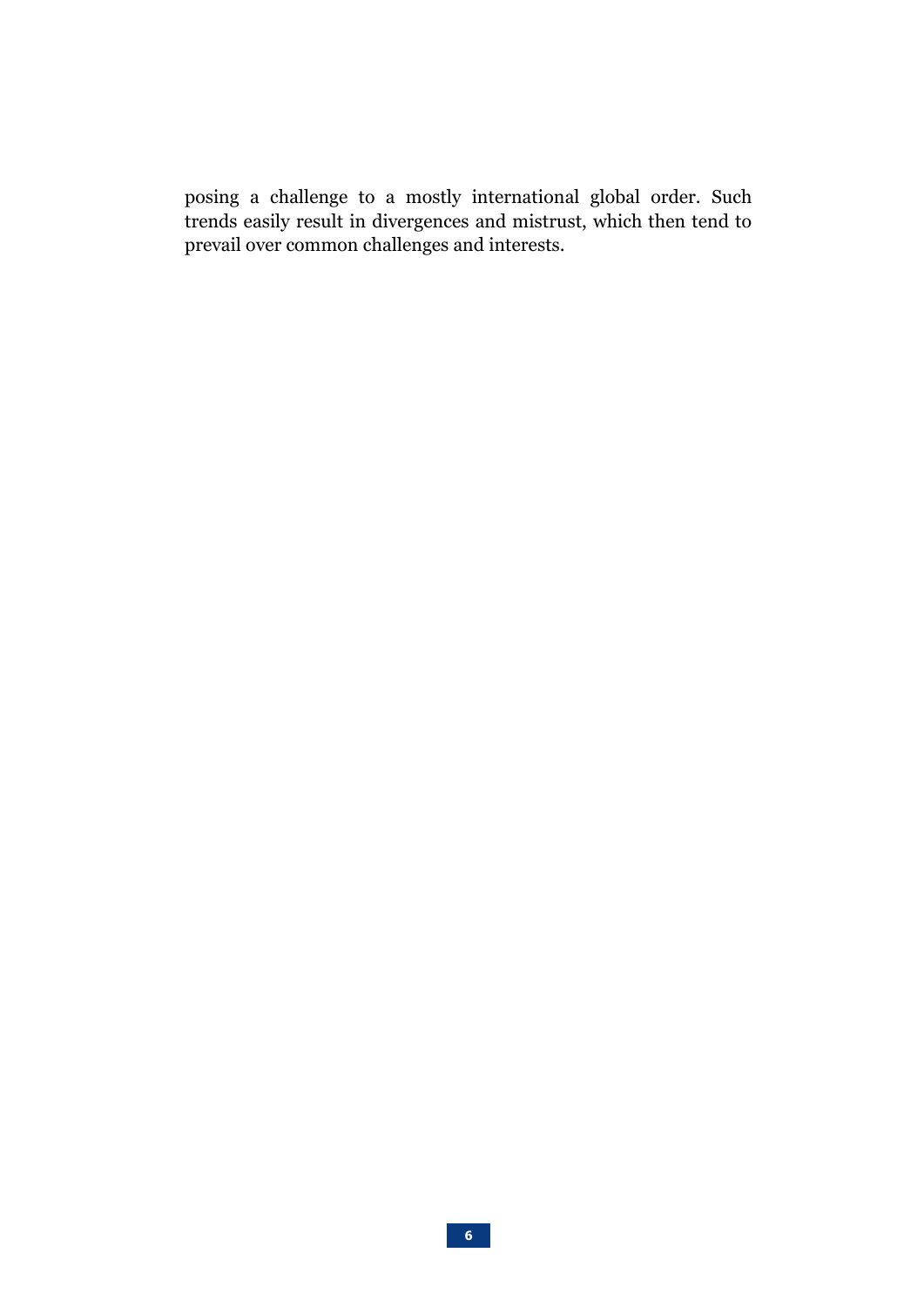posing a challenge to a mostly international global order. Such trends easily result in divergences and mistrust, which then tend to prevail over common challenges and interests.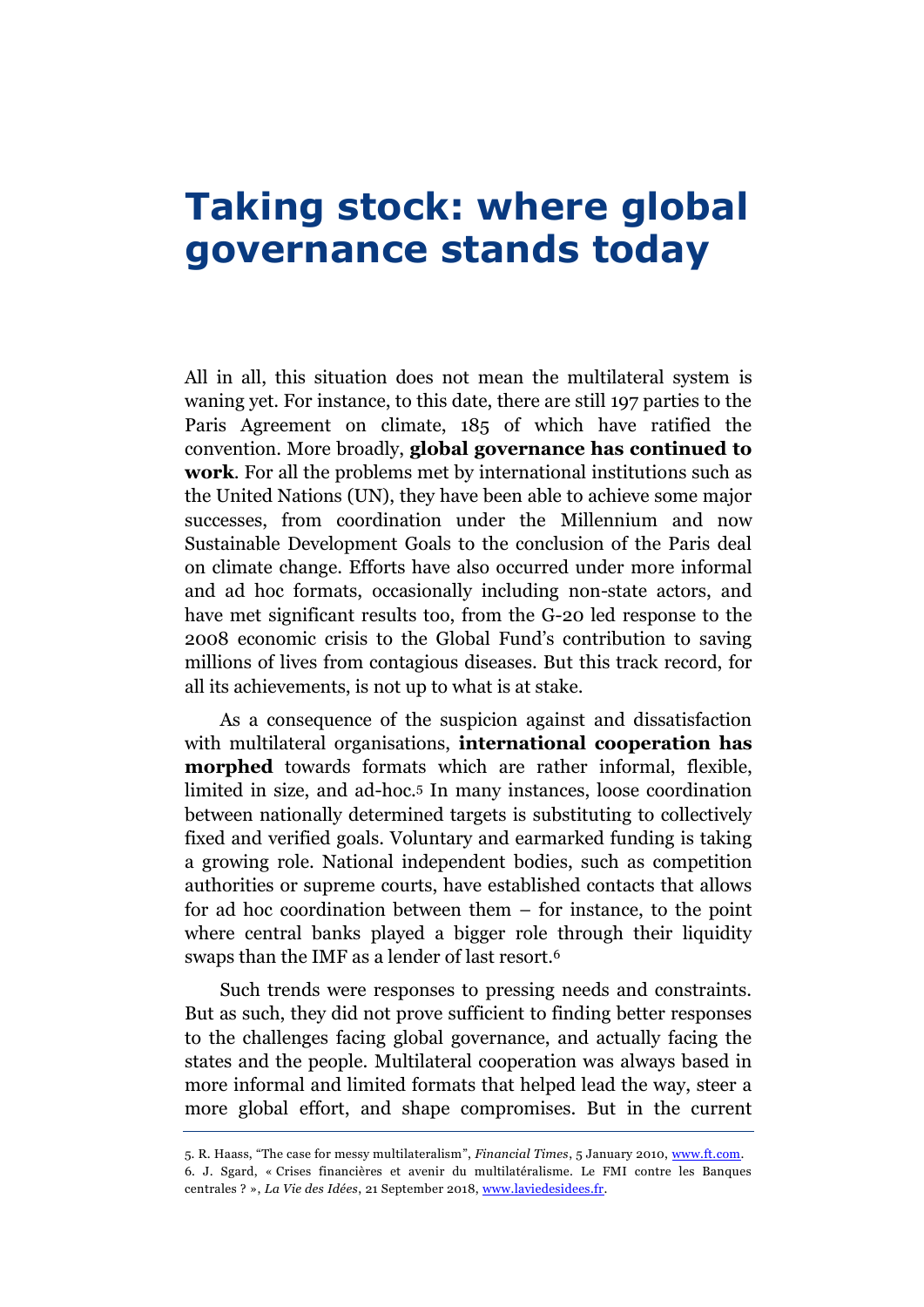#### **Taking stock: where global governance stands today**

All in all, this situation does not mean the multilateral system is waning yet. For instance, to this date, there are still 197 parties to the Paris Agreement on climate, 185 of which have ratified the convention. More broadly, **global governance has continued to work**. For all the problems met by international institutions such as the United Nations (UN), they have been able to achieve some major successes, from coordination under the Millennium and now Sustainable Development Goals to the conclusion of the Paris deal on climate change. Efforts have also occurred under more informal and ad hoc formats, occasionally including non-state actors, and have met significant results too, from the G-20 led response to the 2008 economic crisis to the Global Fund's contribution to saving millions of lives from contagious diseases. But this track record, for all its achievements, is not up to what is at stake.

As a consequence of the suspicion against and dissatisfaction with multilateral organisations, **international cooperation has morphed** towards formats which are rather informal, flexible, limited in size, and ad-hoc. <sup>5</sup> In many instances, loose coordination between nationally determined targets is substituting to collectively fixed and verified goals. Voluntary and earmarked funding is taking a growing role. National independent bodies, such as competition authorities or supreme courts, have established contacts that allows for ad hoc coordination between them – for instance, to the point where central banks played a bigger role through their liquidity swaps than the IMF as a lender of last resort.<sup>6</sup>

Such trends were responses to pressing needs and constraints. But as such, they did not prove sufficient to finding better responses to the challenges facing global governance, and actually facing the states and the people. Multilateral cooperation was always based in more informal and limited formats that helped lead the way, steer a more global effort, and shape compromises. But in the current

<sup>5.</sup> R. Haass, "The case for messy multilateralism", *Financial Times*, 5 January 2010, [www.ft.com.](https://www.ft.com/content/18d8f8b6-fa2f-11de-beed-00144feab49a) 6. J. Sgard, « Crises financières et avenir du multilatéralisme. Le FMI contre les Banques centrales ? », *La Vie des Idées*, 21 September 2018[, www.laviedesidees.fr.](https://laviedesidees.fr/Crises-financieres-et-avenir-du-multilateralisme.html)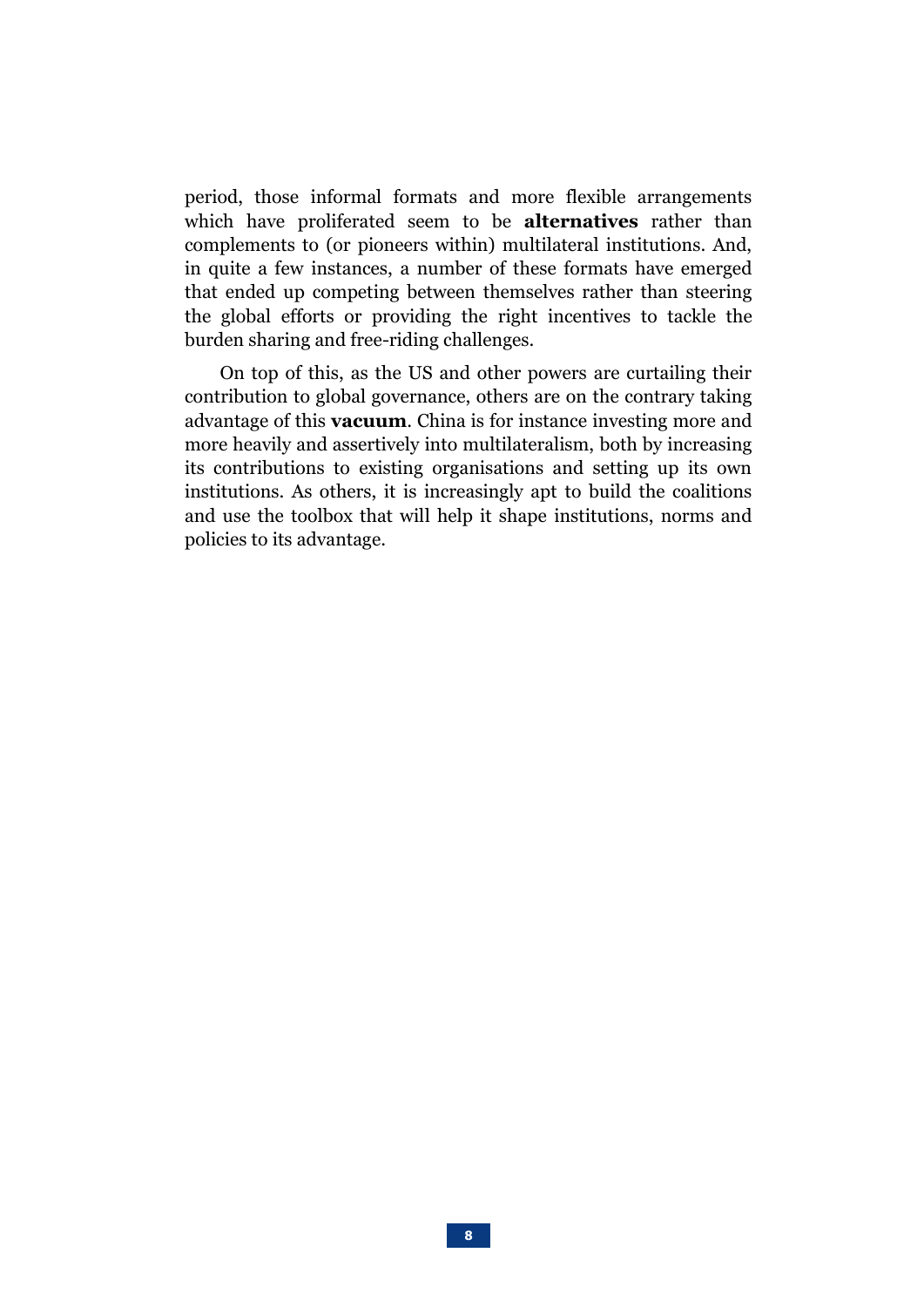period, those informal formats and more flexible arrangements which have proliferated seem to be **alternatives** rather than complements to (or pioneers within) multilateral institutions. And, in quite a few instances, a number of these formats have emerged that ended up competing between themselves rather than steering the global efforts or providing the right incentives to tackle the burden sharing and free-riding challenges.

On top of this, as the US and other powers are curtailing their contribution to global governance, others are on the contrary taking advantage of this **vacuum**. China is for instance investing more and more heavily and assertively into multilateralism, both by increasing its contributions to existing organisations and setting up its own institutions. As others, it is increasingly apt to build the coalitions and use the toolbox that will help it shape institutions, norms and policies to its advantage.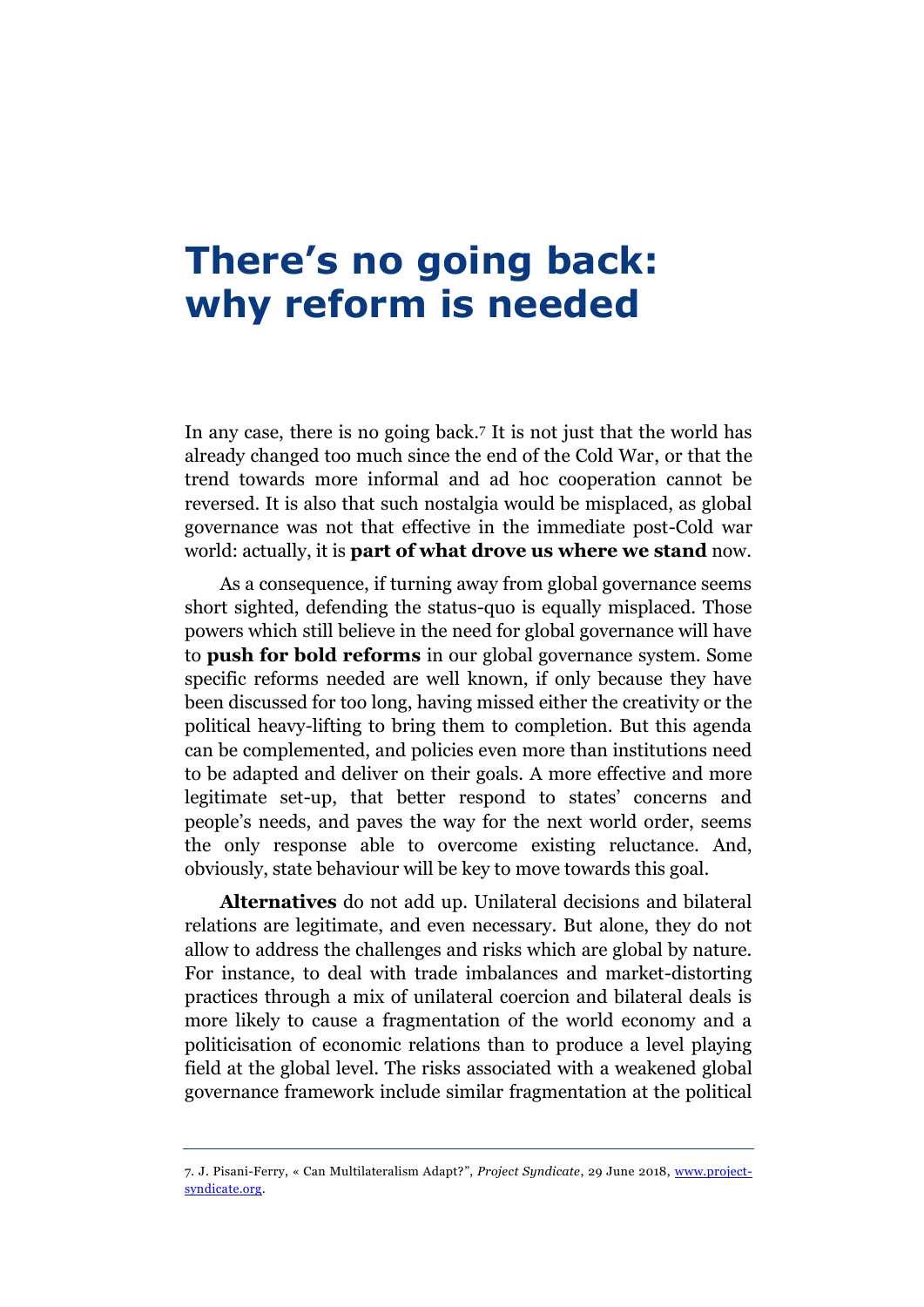# **There's no going back: why reform is needed**

In any case, there is no going back. <sup>7</sup> It is not just that the world has already changed too much since the end of the Cold War, or that the trend towards more informal and ad hoc cooperation cannot be reversed. It is also that such nostalgia would be misplaced, as global governance was not that effective in the immediate post-Cold war world: actually, it is **part of what drove us where we stand** now.

As a consequence, if turning away from global governance seems short sighted, defending the status-quo is equally misplaced. Those powers which still believe in the need for global governance will have to **push for bold reforms** in our global governance system. Some specific reforms needed are well known, if only because they have been discussed for too long, having missed either the creativity or the political heavy-lifting to bring them to completion. But this agenda can be complemented, and policies even more than institutions need to be adapted and deliver on their goals. A more effective and more legitimate set-up, that better respond to states' concerns and people's needs, and paves the way for the next world order, seems the only response able to overcome existing reluctance. And, obviously, state behaviour will be key to move towards this goal.

**Alternatives** do not add up. Unilateral decisions and bilateral relations are legitimate, and even necessary. But alone, they do not allow to address the challenges and risks which are global by nature. For instance, to deal with trade imbalances and market-distorting practices through a mix of unilateral coercion and bilateral deals is more likely to cause a fragmentation of the world economy and a politicisation of economic relations than to produce a level playing field at the global level. The risks associated with a weakened global governance framework include similar fragmentation at the political

<sup>7.</sup> J. Pisani-Ferry, « Can Multilateralism Adapt?", *Project Syndicate*, 29 June 2018, [www.project](https://www.project-syndicate.org/commentary/multilateralism-adaptation-imperative-by-jean-pisani-ferry-2018-06?barrier=accesspaylog)[syndicate.org.](https://www.project-syndicate.org/commentary/multilateralism-adaptation-imperative-by-jean-pisani-ferry-2018-06?barrier=accesspaylog)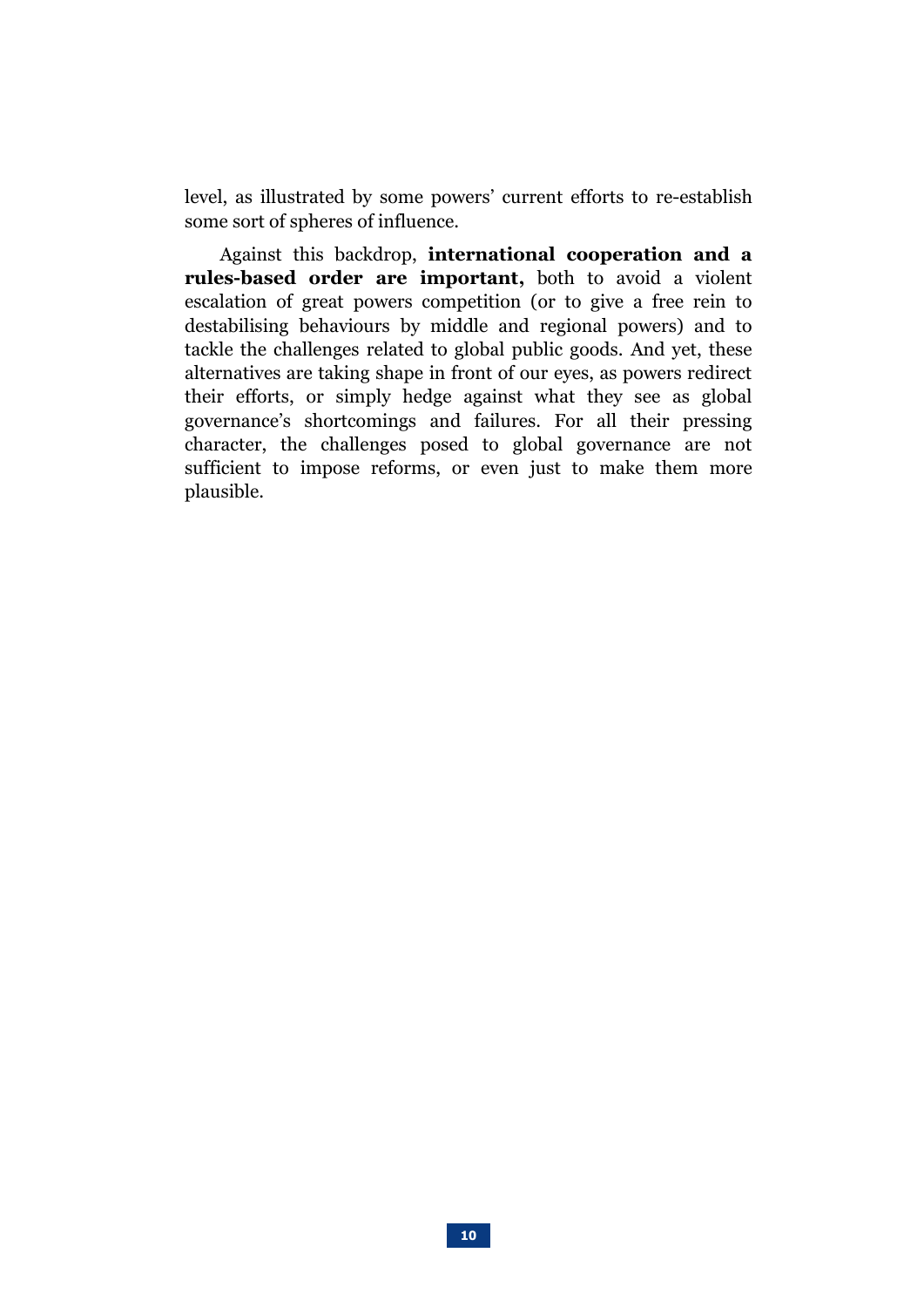level, as illustrated by some powers' current efforts to re-establish some sort of spheres of influence.

Against this backdrop, **international cooperation and a rules-based order are important,** both to avoid a violent escalation of great powers competition (or to give a free rein to destabilising behaviours by middle and regional powers) and to tackle the challenges related to global public goods. And yet, these alternatives are taking shape in front of our eyes, as powers redirect their efforts, or simply hedge against what they see as global governance's shortcomings and failures. For all their pressing character, the challenges posed to global governance are not sufficient to impose reforms, or even just to make them more plausible.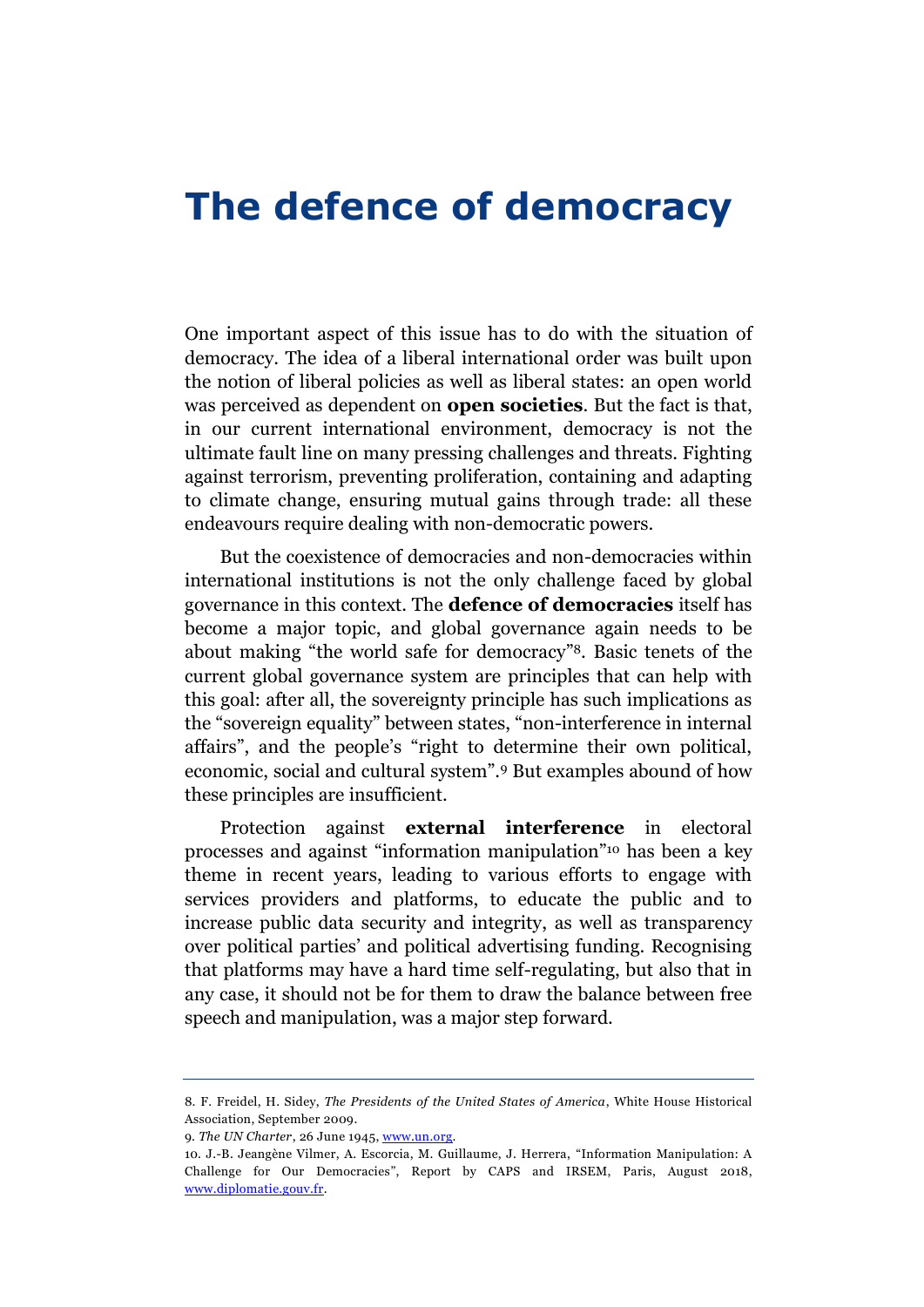#### **The defence of democracy**

One important aspect of this issue has to do with the situation of democracy. The idea of a liberal international order was built upon the notion of liberal policies as well as liberal states: an open world was perceived as dependent on **open societies**. But the fact is that, in our current international environment, democracy is not the ultimate fault line on many pressing challenges and threats. Fighting against terrorism, preventing proliferation, containing and adapting to climate change, ensuring mutual gains through trade: all these endeavours require dealing with non-democratic powers.

But the coexistence of democracies and non-democracies within international institutions is not the only challenge faced by global governance in this context. The **defence of democracies** itself has become a major topic, and global governance again needs to be about making "the world safe for democracy" <sup>8</sup>. Basic tenets of the current global governance system are principles that can help with this goal: after all, the sovereignty principle has such implications as the "[sovereign equality](https://www.un.org/en/sections/un-charter/un-charter-full-text/)" between states, "non-interference in internal affairs", and the people's "right to determine their own political, economic, social and cultural system".<sup>9</sup> But examples abound of how these principles are insufficient.

Protection against **external interference** in electoral processes and against "information manipulation" <sup>10</sup> has been a key theme in recent years, leading to various efforts to engage with services providers and platforms, to educate the public and to increase public data security and integrity, as well as transparency over political parties' and political advertising funding. Recognising that platforms may have a hard time self-regulating, but also that in any case, it should not be for them to draw the balance between free speech and manipulation, was a major step forward.

<sup>8.</sup> F. Freidel, H. Sidey, *The Presidents of the United States of America*, White House Historical Association, September 2009.

<sup>9.</sup> *The UN Charter*, 26 June 1945[, www.un.org.](https://www.un.org/en/sections/un-charter/un-charter-full-text/)

<sup>10.</sup> J.-B. Jeangène Vilmer, A. Escorcia, M. Guillaume, J. Herrera, "Information Manipulation: A Challenge for Our Democracies", Report by CAPS and IRSEM, Paris, August 2018, [www.diplomatie.gouv.fr.](https://www.diplomatie.gouv.fr/IMG/pdf/information_manipulation_rvb_cle838736.pdf)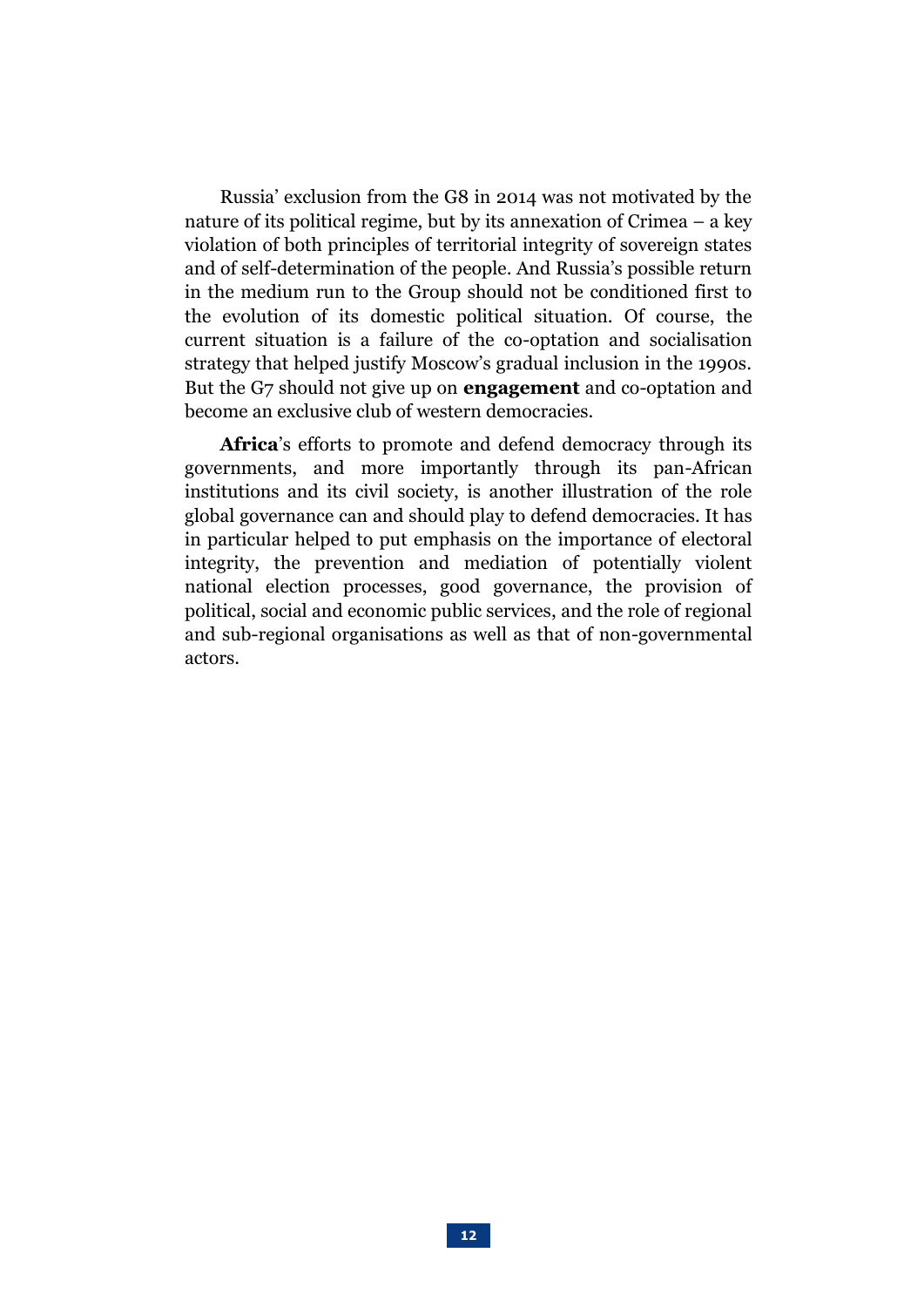Russia' exclusion from the G8 in 2014 was not motivated by the nature of its political regime, but by its annexation of Crimea  $-$  a key violation of both principles of territorial integrity of sovereign states and of self-determination of the people. And Russia's possible return in the medium run to the Group should not be conditioned first to the evolution of its domestic political situation. Of course, the current situation is a failure of the co-optation and socialisation strategy that helped justify Moscow's gradual inclusion in the 1990s. But the G7 should not give up on **engagement** and co-optation and become an exclusive club of western democracies.

**Africa**'s efforts to promote and defend democracy through its governments, and more importantly through its pan-African institutions and its civil society, is another illustration of the role global governance can and should play to defend democracies. It has in particular helped to put emphasis on the importance of electoral integrity, the prevention and mediation of potentially violent national election processes, good governance, the provision of political, social and economic public services, and the role of regional and sub-regional organisations as well as that of non-governmental actors.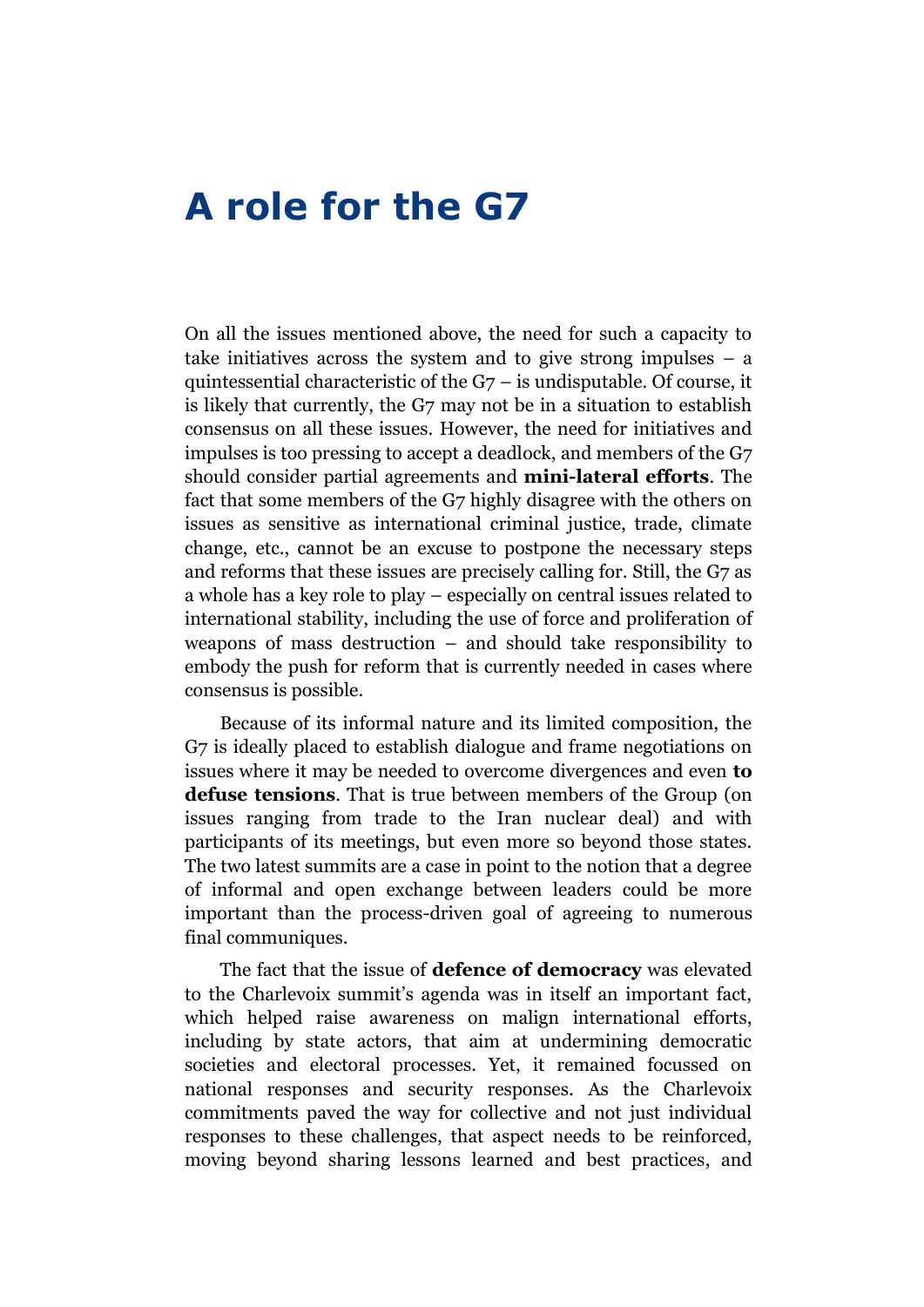#### **A role for the G7**

On all the issues mentioned above, the need for such a capacity to take initiatives across the system and to give strong impulses – a quintessential characteristic of the G7 – is undisputable. Of course, it is likely that currently, the G7 may not be in a situation to establish consensus on all these issues. However, the need for initiatives and impulses is too pressing to accept a deadlock, and members of the G7 should consider partial agreements and **mini-lateral efforts**. The fact that some members of the G7 highly disagree with the others on issues as sensitive as international criminal justice, trade, climate change, etc., cannot be an excuse to postpone the necessary steps and reforms that these issues are precisely calling for. Still, the G7 as a whole has a key role to play – especially on central issues related to international stability, including the use of force and proliferation of weapons of mass destruction – and should take responsibility to embody the push for reform that is currently needed in cases where consensus is possible.

Because of its informal nature and its limited composition, the G7 is ideally placed to establish dialogue and frame negotiations on issues where it may be needed to overcome divergences and even **to defuse tensions**. That is true between members of the Group (on issues ranging from trade to the Iran nuclear deal) and with participants of its meetings, but even more so beyond those states. The two latest summits are a case in point to the notion that a degree of informal and open exchange between leaders could be more important than the process-driven goal of agreeing to numerous final communiques.

The fact that the issue of **defence of democracy** was elevated to the Charlevoix summit's agenda was in itself an important fact, which helped raise awareness on malign international efforts, including by state actors, that aim at undermining democratic societies and electoral processes. Yet, it remained focussed on national responses and security responses. As the Charlevoix commitments paved the way for collective and not just individual responses to these challenges, that aspect needs to be reinforced, moving beyond sharing lessons learned and best practices, and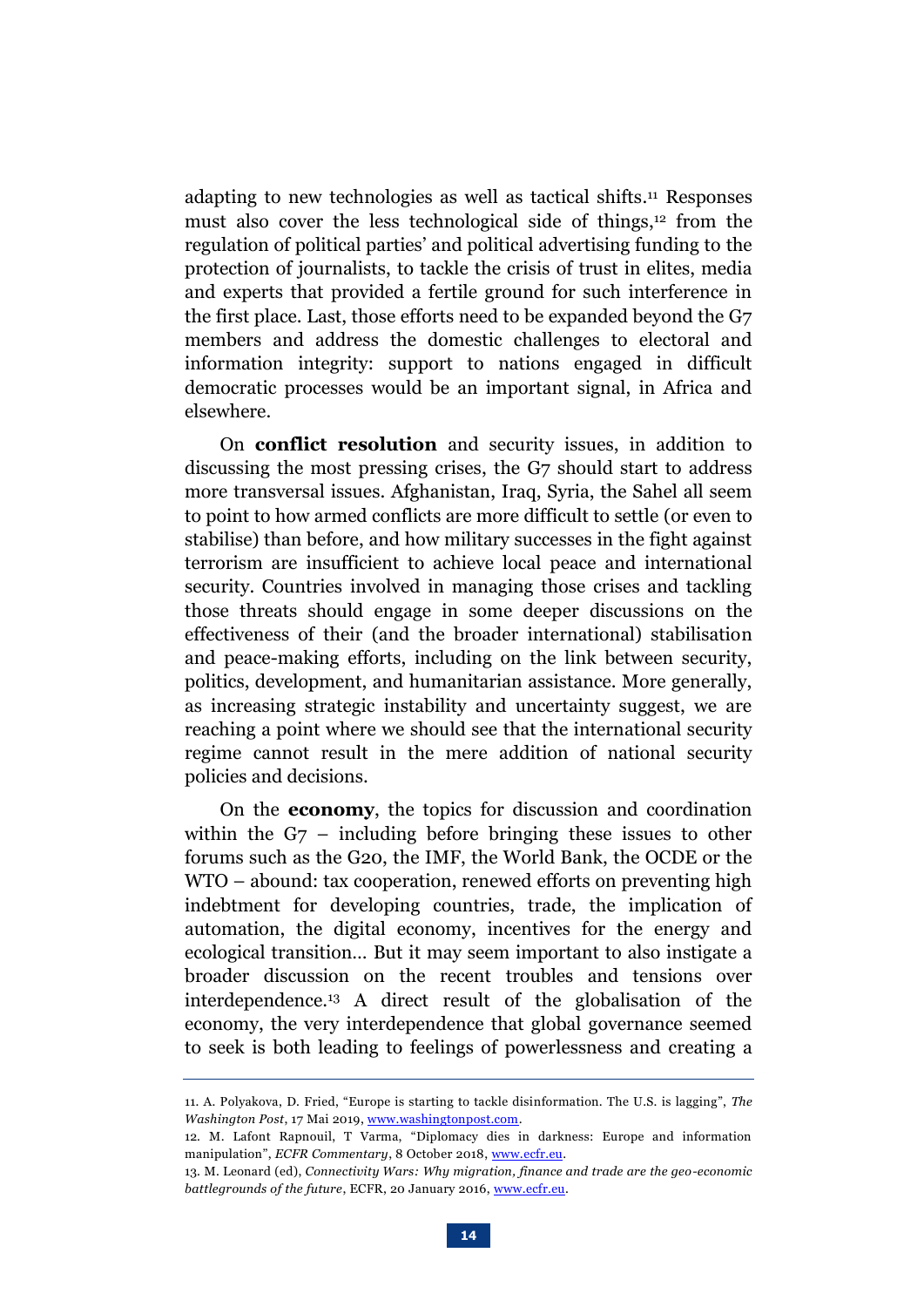adapting to new technologies as well as tactical shifts. <sup>11</sup> Responses must also cover the less technological side of things, <sup>12</sup> from the regulation of political parties' and political advertising funding to the protection of journalists, to tackle the crisis of trust in elites, media and experts that provided a fertile ground for such interference in the first place. Last, those efforts need to be expanded beyond the G7 members and address the domestic challenges to electoral and information integrity: support to nations engaged in difficult democratic processes would be an important signal, in Africa and elsewhere.

On **conflict resolution** and security issues, in addition to discussing the most pressing crises, the G7 should start to address more transversal issues. Afghanistan, Iraq, Syria, the Sahel all seem to point to how armed conflicts are more difficult to settle (or even to stabilise) than before, and how military successes in the fight against terrorism are insufficient to achieve local peace and international security. Countries involved in managing those crises and tackling those threats should engage in some deeper discussions on the effectiveness of their (and the broader international) stabilisation and peace-making efforts, including on the link between security, politics, development, and humanitarian assistance. More generally, as increasing strategic instability and uncertainty suggest, we are reaching a point where we should see that the international security regime cannot result in the mere addition of national security policies and decisions.

On the **economy**, the topics for discussion and coordination within the G7 – including before bringing these issues to other forums such as the G20, the IMF, the World Bank, the OCDE or the WTO – abound: tax cooperation, renewed efforts on preventing high indebtment for developing countries, trade, the implication of automation, the digital economy, incentives for the energy and ecological transition… But it may seem important to also instigate a broader discussion on the recent troubles and tensions over interdependence. <sup>13</sup> A direct result of the globalisation of the economy, the very interdependence that global governance seemed to seek is both leading to feelings of powerlessness and creating a

<sup>11.</sup> A. Polyakova, D. Fried, "Europe is starting to tackle disinformation. The U.S. is lagging", *The Washington Post*, 17 Mai 2019, [www.washingtonpost.com.](https://www.washingtonpost.com/gdpr-consent/?destination=%2fopinions%2f2019%2f06%2f17%2feurope-is-starting-tackle-disinformation-us-is-lagging%2f%3f&utm_term=.7c1d9c5c9617)

<sup>12.</sup> M. Lafont Rapnouil, T Varma, "Diplomacy dies in darkness: Europe and information manipulation", *ECFR Commentary*, 8 October 2018, [www.ecfr.eu.](https://www.ecfr.eu/article/commentary_diplomacy_dies_in_darkness_europe_and_information_manipulation)

<sup>13.</sup> M. Leonard (ed), *Connectivity Wars: Why migration, finance and trade are the geo-economic battlegrounds of the future*, ECFR, 20 January 2016, [www.ecfr.eu.](https://www.ecfr.eu/publications/summary/connectivity_wars_5064)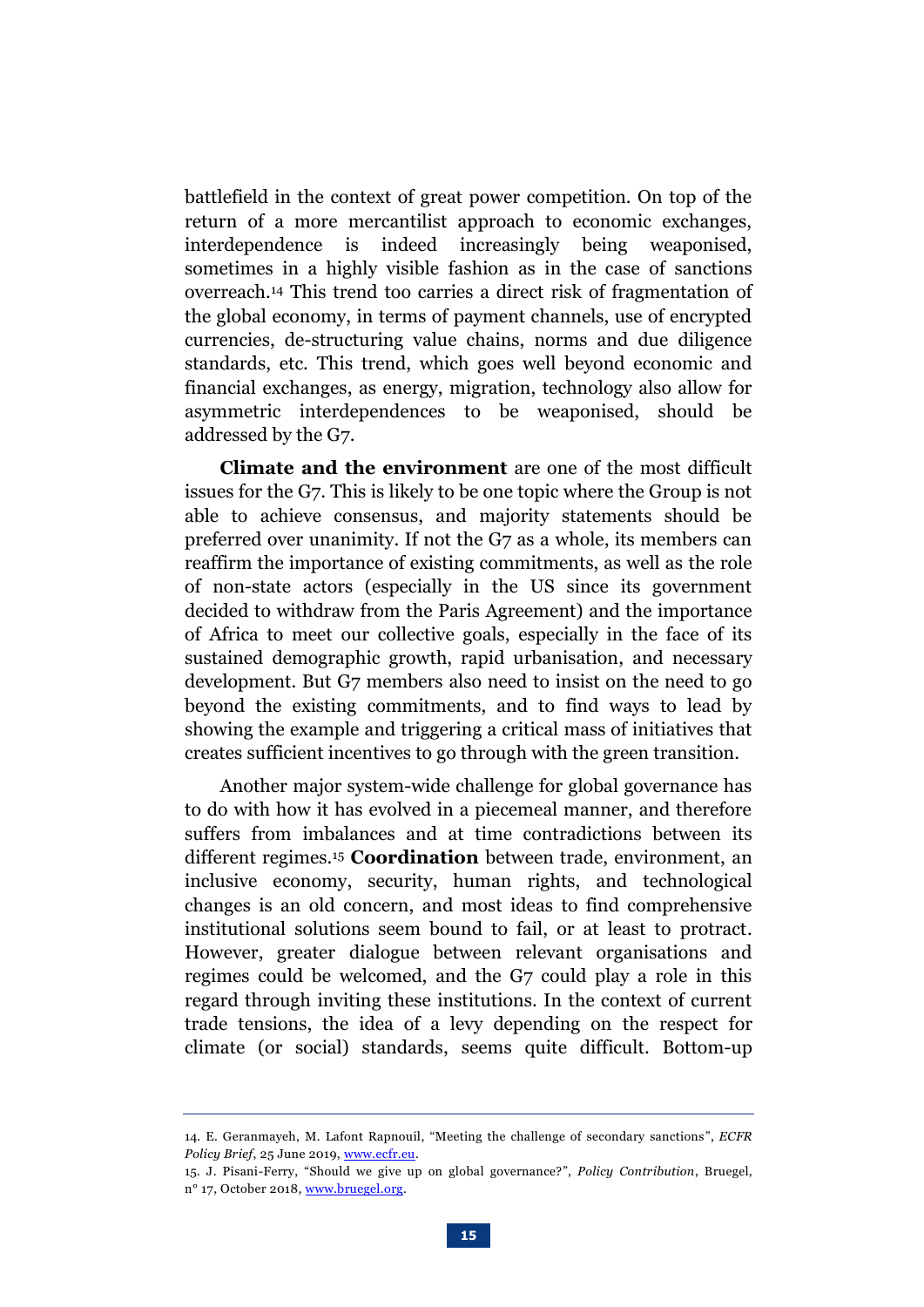battlefield in the context of great power competition. On top of the return of a more mercantilist approach to economic exchanges, interdependence is indeed increasingly being weaponised, sometimes in a highly visible fashion as in the case of sanctions overreach. <sup>14</sup> This trend too carries a direct risk of fragmentation of the global economy, in terms of payment channels, use of encrypted currencies, de-structuring value chains, norms and due diligence standards, etc. This trend, which goes well beyond economic and financial exchanges, as energy, migration, technology also allow for asymmetric interdependences to be weaponised, should be addressed by the G7.

**Climate and the environment** are one of the most difficult issues for the G7. This is likely to be one topic where the Group is not able to achieve consensus, and majority statements should be preferred over unanimity. If not the G7 as a whole, its members can reaffirm the importance of existing commitments, as well as the role of non-state actors (especially in the US since its government decided to withdraw from the Paris Agreement) and the importance of Africa to meet our collective goals, especially in the face of its sustained demographic growth, rapid urbanisation, and necessary development. But G7 members also need to insist on the need to go beyond the existing commitments, and to find ways to lead by showing the example and triggering a critical mass of initiatives that creates sufficient incentives to go through with the green transition.

Another major system-wide challenge for global governance has to do with how it has evolved in a piecemeal manner, and therefore suffers from imbalances and at time contradictions between its different regimes. <sup>15</sup> **Coordination** between trade, environment, an inclusive economy, security, human rights, and technological changes is an old concern, and most ideas to find comprehensive institutional solutions seem bound to fail, or at least to protract. However, greater dialogue between relevant organisations and regimes could be welcomed, and the G7 could play a role in this regard through inviting these institutions. In the context of current trade tensions, the idea of a levy depending on the respect for climate (or social) standards, seems quite difficult. Bottom-up

<sup>14.</sup> E. Geranmayeh, M. Lafont Rapnouil, "Meeting the challenge of secondary sanctions", *ECFR Policy Brief*, 25 June 2019[, www.ecfr.eu.](https://www.ecfr.eu/publications/summary/meeting_the_challenge_of_secondary_sanctions)

<sup>15.</sup> J. Pisani-Ferry, "Should we give up on global governance?", *Policy Contribution*, Bruegel, n° 17, October 2018[, www.bruegel.org.](https://bruegel.org/wp-content/uploads/2018/10/PC-17-2018.pdf)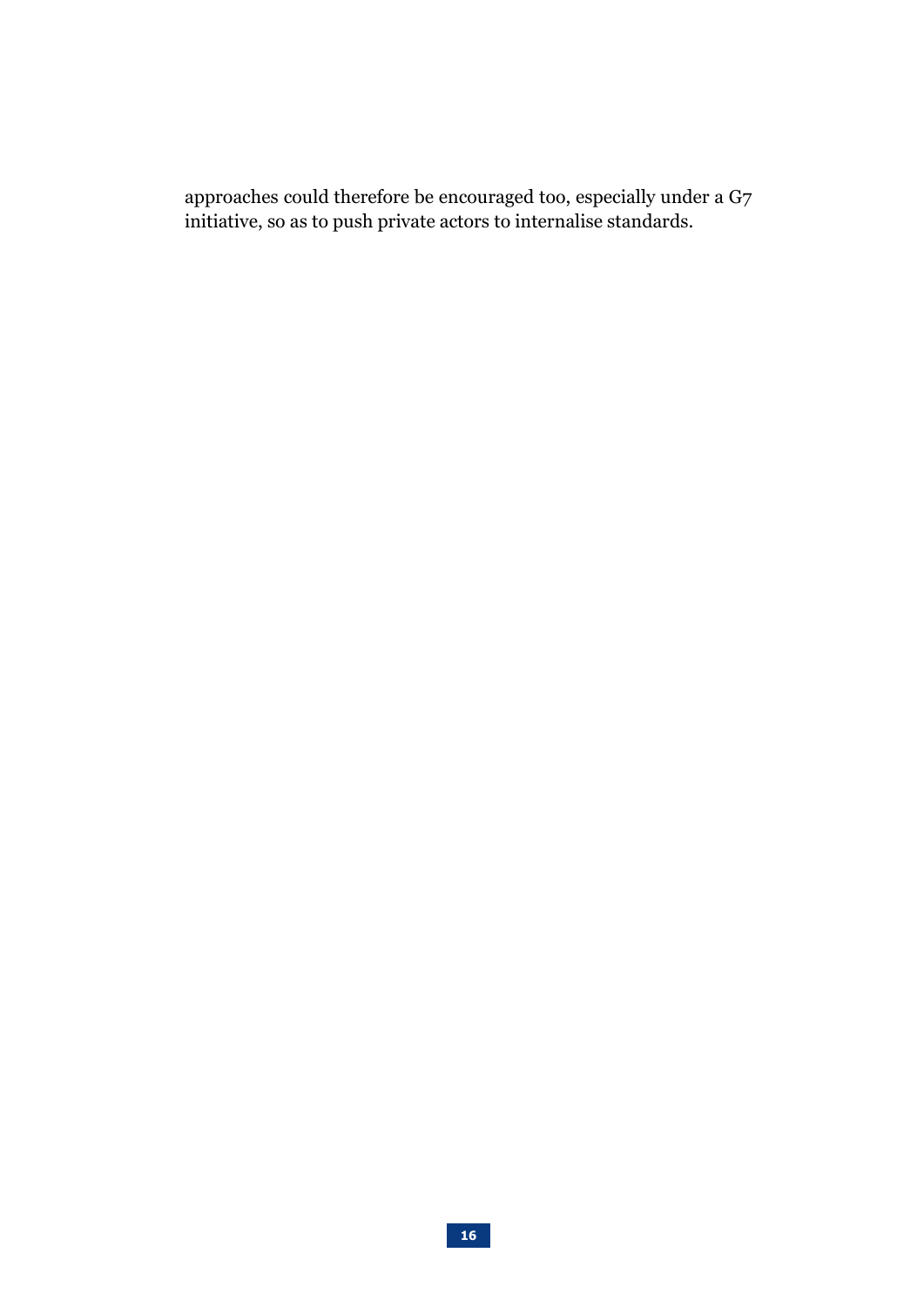approaches could therefore be encouraged too, especially under a G7 initiative, so as to push private actors to internalise standards.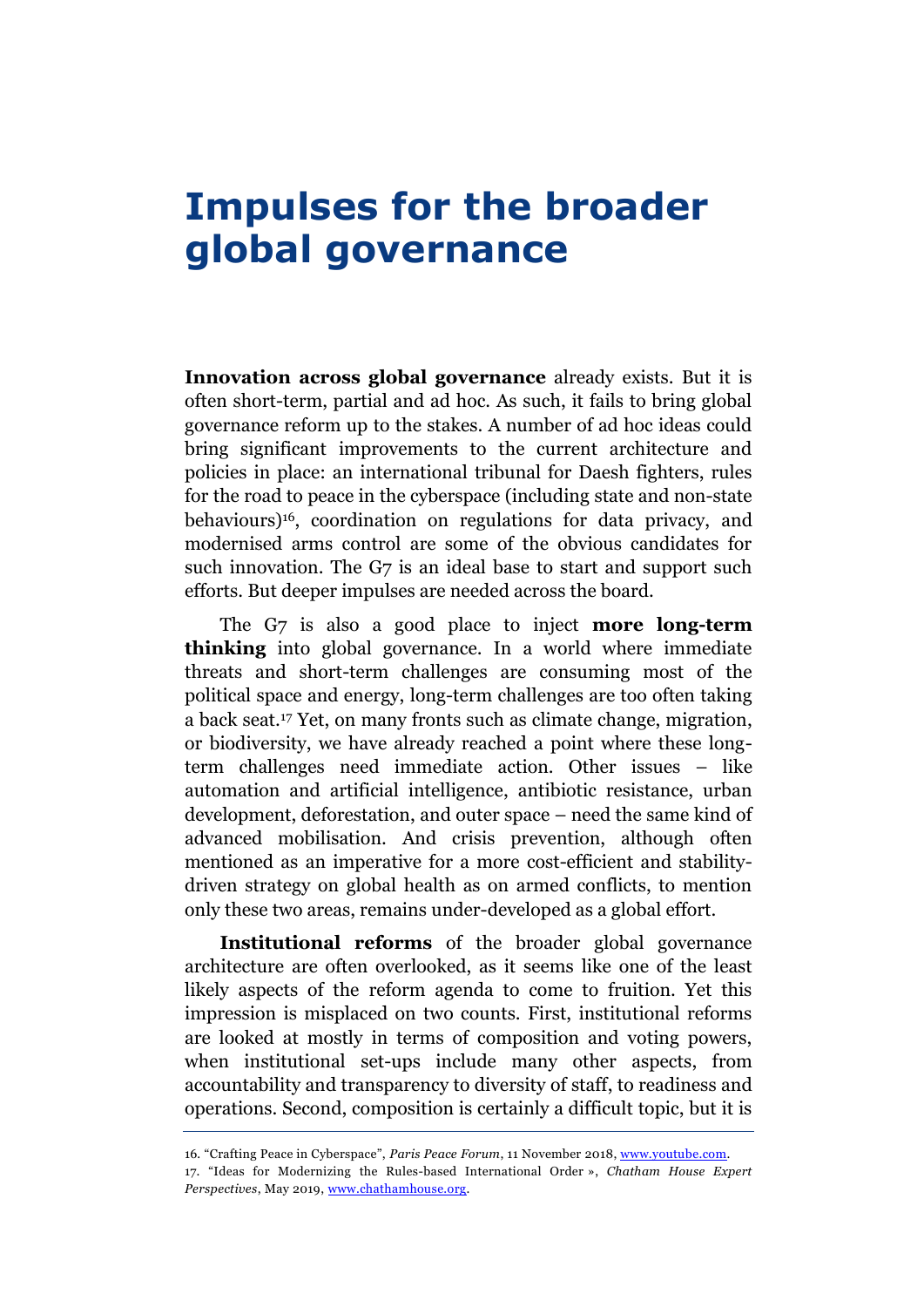# **Impulses for the broader global governance**

**Innovation across global governance** already exists. But it is often short-term, partial and ad hoc. As such, it fails to bring global governance reform up to the stakes. A number of ad hoc ideas could bring significant improvements to the current architecture and policies in place: an international tribunal for Daesh fighters, rules for the road to peace in the cyberspace (including state and non-state behaviours) <sup>16</sup>, coordination on regulations for data privacy, and modernised arms control are some of the obvious candidates for such innovation. The G7 is an ideal base to start and support such efforts. But deeper impulses are needed across the board.

The G7 is also a good place to inject **more long-term thinking** into global governance. In a world where immediate threats and short-term challenges are consuming most of the political space and energy, long-term challenges are too often taking a back seat.<sup>17</sup> Yet, on many fronts such as climate change, migration, or biodiversity, we have already reached a point where these longterm challenges need immediate action. Other issues – like automation and artificial intelligence, antibiotic resistance, urban development, deforestation, and outer space – need the same kind of advanced mobilisation. And crisis prevention, although often mentioned as an imperative for a more cost-efficient and stabilitydriven strategy on global health as on armed conflicts, to mention only these two areas, remains under-developed as a global effort.

**Institutional reforms** of the broader global governance architecture are often overlooked, as it seems like one of the least likely aspects of the reform agenda to come to fruition. Yet this impression is misplaced on two counts. First, institutional reforms are looked at mostly in terms of composition and voting powers, when institutional set-ups include many other aspects, from accountability and transparency to diversity of staff, to readiness and operations. Second, composition is certainly a difficult topic, but it is

<sup>16.</sup> "Crafting Peace in Cyberspace", *Paris Peace Forum*, 11 November 2018[, www.youtube.com.](https://www.youtube.com/watch?v=QuU_eeujhUg)

<sup>17.</sup> "Ideas for Modernizing the Rules-based International Order », *Chatham House Expert Perspectives*, May 2019, [www.chathamhouse.org](https://www.chathamhouse.org/research/publications/expert-perspectives).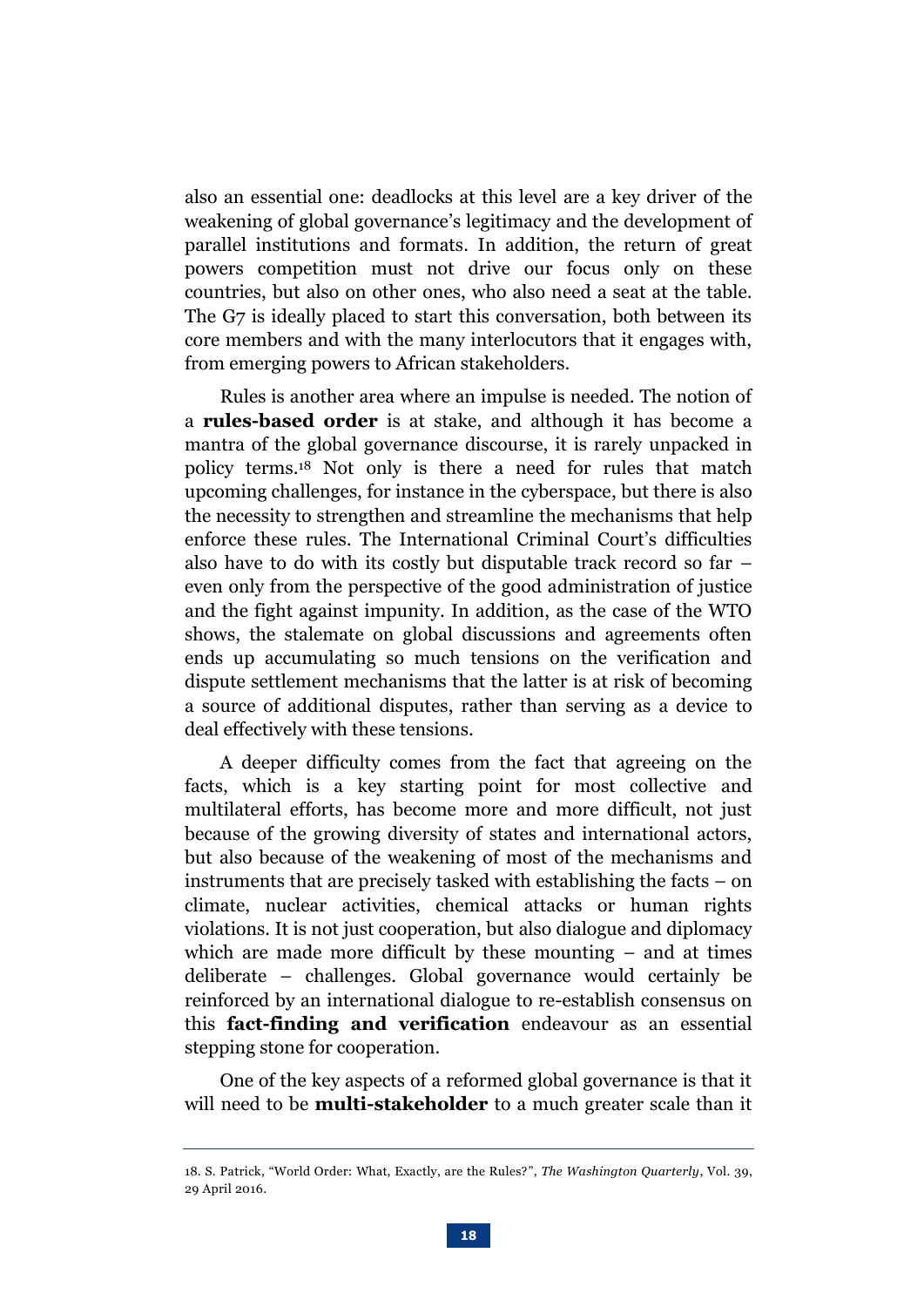also an essential one: deadlocks at this level are a key driver of the weakening of global governance's legitimacy and the development of parallel institutions and formats. In addition, the return of great powers competition must not drive our focus only on these countries, but also on other ones, who also need a seat at the table. The G7 is ideally placed to start this conversation, both between its core members and with the many interlocutors that it engages with, from emerging powers to African stakeholders.

Rules is another area where an impulse is needed. The notion of a **rules-based order** is at stake, and although it has become a mantra of the global governance discourse, it is rarely unpacked in policy terms. <sup>18</sup> Not only is there a need for rules that match upcoming challenges, for instance in the cyberspace, but there is also the necessity to strengthen and streamline the mechanisms that help enforce these rules. The International Criminal Court's difficulties also have to do with its costly but disputable track record so far – even only from the perspective of the good administration of justice and the fight against impunity. In addition, as the case of the WTO shows, the stalemate on global discussions and agreements often ends up accumulating so much tensions on the verification and dispute settlement mechanisms that the latter is at risk of becoming a source of additional disputes, rather than serving as a device to deal effectively with these tensions.

A deeper difficulty comes from the fact that agreeing on the facts, which is a key starting point for most collective and multilateral efforts, has become more and more difficult, not just because of the growing diversity of states and international actors, but also because of the weakening of most of the mechanisms and instruments that are precisely tasked with establishing the facts – on climate, nuclear activities, chemical attacks or human rights violations. It is not just cooperation, but also dialogue and diplomacy which are made more difficult by these mounting – and at times deliberate – challenges. Global governance would certainly be reinforced by an international dialogue to re-establish consensus on this **fact-finding and verification** endeavour as an essential stepping stone for cooperation.

One of the key aspects of a reformed global governance is that it will need to be **multi-stakeholder** to a much greater scale than it

<sup>18.</sup> S. Patrick, "World Order: What, Exactly, are the Rules?", *The Washington Quarterly*, Vol. 39, 29 April 2016.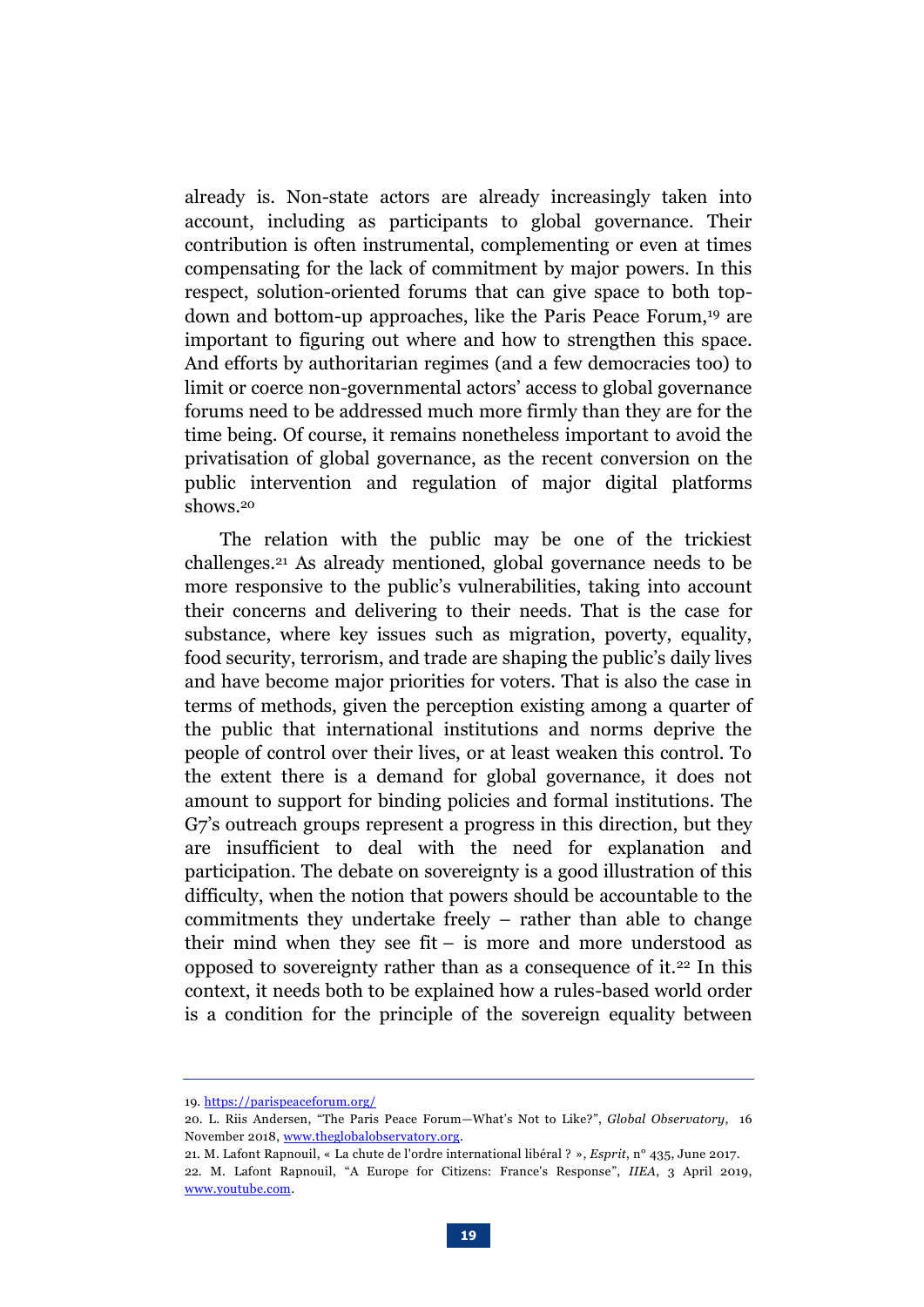already is. Non-state actors are already increasingly taken into account, including as participants to global governance. Their contribution is often instrumental, complementing or even at times compensating for the lack of commitment by major powers. In this respect, solution-oriented forums that can give space to both topdown and bottom-up approaches, like the Paris Peace Forum, <sup>19</sup> are important to figuring out where and how to strengthen this space. And efforts by authoritarian regimes (and a few democracies too) to limit or coerce non-governmental actors' access to global governance forums need to be addressed much more firmly than they are for the time being. Of course, it remains nonetheless important to avoid the privatisation of global governance, as the recent conversion on the public intervention and regulation of major digital platforms shows.<sup>20</sup>

The relation with the public may be one of the trickiest challenges.<sup>21</sup> As already mentioned, global governance needs to be more responsive to the public's vulnerabilities, taking into account their concerns and delivering to their needs. That is the case for substance, where key issues such as migration, poverty, equality, food security, terrorism, and trade are shaping the public's daily lives and have become major priorities for voters. That is also the case in terms of methods, given the perception existing among a quarter of the public that international institutions and norms deprive the people of control over their lives, or at least weaken this control. To the extent there is a demand for global governance, it does not amount to support for binding policies and formal institutions. The G7's outreach groups represent a progress in this direction, but they are insufficient to deal with the need for explanation and participation. The debate on sovereignty is a good illustration of this difficulty, when the notion that powers should be accountable to the commitments they undertake freely – rather than able to change their mind when they see fit – is more and more understood as opposed to sovereignty rather than as a consequence of it.<sup>22</sup> In this context, it needs both to be explained how a rules-based world order is a condition for the principle of the sovereign equality between

<sup>19</sup>[. https://parispeaceforum.org/](https://parispeaceforum.org/)

<sup>20.</sup> L. Riis Andersen, "The Paris Peace Forum—What's Not to Like?", *Global Observatory*, 16 November 2018[, www.theglobalobservatory.org.](https://theglobalobservatory.org/2018/11/paris-peace-forum-whats-not-to-like/)

<sup>21.</sup> M. Lafont Rapnouil, « La chute de l'ordre international libéral ? », *Esprit*, n° 435, June 2017. 22. M. Lafont Rapnouil, "A Europe for Citizens: France's Response", *IIEA*, 3 April 2019, [www.youtube.com.](https://www.youtube.com/watch?v=aDGt0qw3Zx0)